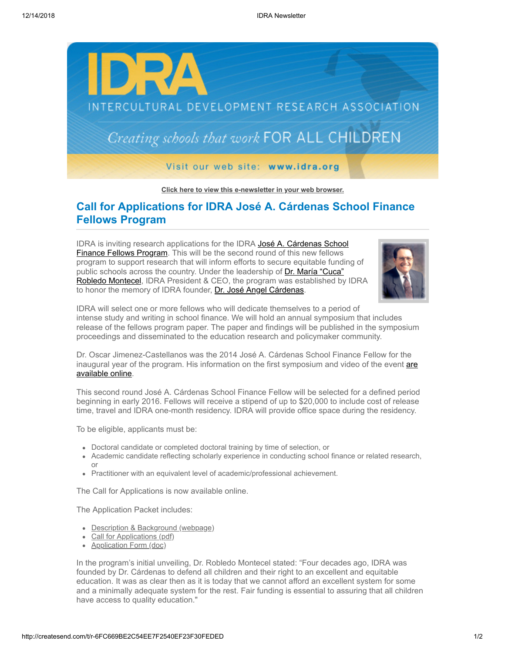

**[Click here to view this e-newsletter in your web browser.](http://newsletter.impulsedevelopment.com/t/r-e-ajrkhhl-l-r/)**

## **Call for Applications for IDRA José A. Cárdenas School Finance Fellows Program**

[IDRA is inviting research applications for the IDRA José A. Cárdenas School](http://idra.createsend1.com/t/r-l-ajrkhhl-l-i/) Finance Fellows Program. This will be the second round of this new fellows program to support research that will inform efforts to secure equitable funding of public schools across the country. Under the leadership of Dr. María "Cuca" [Robledo Montecel, IDRA President & CEO, the program was established by](http://idra.createsend1.com/t/r-l-ajrkhhl-l-d/) IDRA to honor the memory of IDRA founder, [Dr. José Angel Cárdenas.](http://idra.createsend1.com/t/r-l-ajrkhhl-l-o/)



IDRA will select one or more fellows who will dedicate themselves to a period of intense study and writing in school finance. We will hold an annual symposium that includes release of the fellows program paper. The paper and findings will be published in the symposium proceedings and disseminated to the education research and policymaker community.

Dr. Oscar Jimenez-Castellanos was the 2014 José A. Cárdenas School Finance Fellow for the [inaugural year of the program. His information on the first symposium and video of the event are](http://idra.createsend1.com/t/r-l-ajrkhhl-l-b/) available online.

This second round José A. Cárdenas School Finance Fellow will be selected for a defined period beginning in early 2016. Fellows will receive a stipend of up to \$20,000 to include cost of release time, travel and IDRA one-month residency. IDRA will provide office space during the residency.

To be eligible, applicants must be:

- Doctoral candidate or completed doctoral training by time of selection, or
- Academic candidate reflecting scholarly experience in conducting school finance or related research, or
- Practitioner with an equivalent level of academic/professional achievement.

The Call for Applications is now available online.

The Application Packet includes:

- [Description & Background \(webpage\)](http://idra.createsend1.com/t/r-l-ajrkhhl-l-x/)
- [Call for Applications \(pdf\)](http://idra.createsend1.com/t/r-l-ajrkhhl-l-m/)
- [Application Form \(doc\)](http://idra.createsend1.com/t/r-l-ajrkhhl-l-c/)

In the program's initial unveiling, Dr. Robledo Montecel stated: "Four decades ago, IDRA was founded by Dr. Cárdenas to defend all children and their right to an excellent and equitable education. It was as clear then as it is today that we cannot afford an excellent system for some and a minimally adequate system for the rest. Fair funding is essential to assuring that all children have access to quality education."